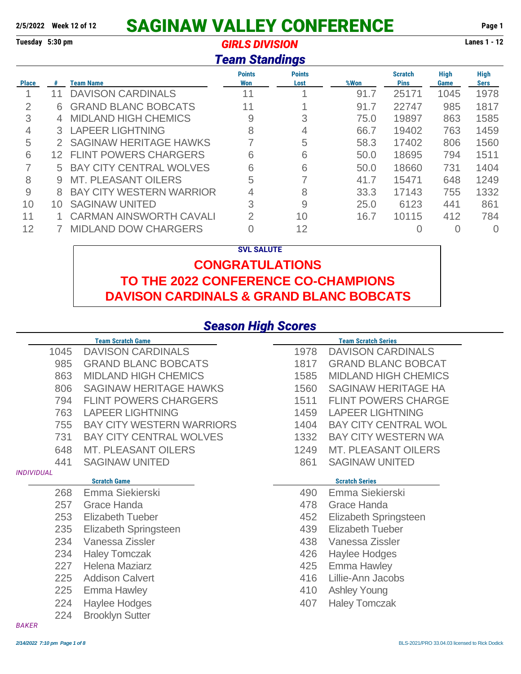## **2/5/2022 Week 12 of 12 SAGINAW VALLEY CONFERENCE Page 1**

**Tuesday 5:30 pm** *GIRLS DIVISION* **Lanes 1 - 12**

#### *Team Standings*

|              |                 |                                 | <b>Points</b>  | <b>Points</b> |      | <b>Scratch</b> | <b>High</b> | <b>High</b> |
|--------------|-----------------|---------------------------------|----------------|---------------|------|----------------|-------------|-------------|
| <b>Place</b> | #               | Team Name                       | Won            | Lost          | %Won | <b>Pins</b>    | Game        | Sers        |
|              | 11              | <b>DAVISON CARDINALS</b>        | 11             |               | 91.7 | 25171          | 1045        | 1978        |
| 2            | 6               | <b>GRAND BLANC BOBCATS</b>      | 11             |               | 91.7 | 22747          | 985         | 1817        |
| 3            | 4               | <b>MIDLAND HIGH CHEMICS</b>     | 9              | 3             | 75.0 | 19897          | 863         | 1585        |
| 4            |                 | 3 LAPEER LIGHTNING              | 8              | 4             | 66.7 | 19402          | 763         | 1459        |
| 5            | $\mathcal{P}^-$ | <b>SAGINAW HERITAGE HAWKS</b>   |                | 5             | 58.3 | 17402          | 806         | 1560        |
| 6            | 12              | <b>FLINT POWERS CHARGERS</b>    | 6              | 6             | 50.0 | 18695          | 794         | 1511        |
|              | 5.              | <b>BAY CITY CENTRAL WOLVES</b>  | 6              | 6             | 50.0 | 18660          | 731         | 1404        |
| 8            | 9               | <b>MT. PLEASANT OILERS</b>      | 5              |               | 41.7 | 15471          | 648         | 1249        |
| 9            | 8               | <b>BAY CITY WESTERN WARRIOR</b> | 4              | 8             | 33.3 | 17143          | 755         | 1332        |
| 10           | 10              | <b>SAGINAW UNITED</b>           | 3              | 9             | 25.0 | 6123           | 441         | 861         |
| 11           |                 | <b>CARMAN AINSWORTH CAVALI</b>  | $\overline{2}$ | 10            | 16.7 | 10115          | 412         | 784         |
| 12           |                 | <b>MIDLAND DOW CHARGERS</b>     |                | 12            |      |                |             | $\Omega$    |

#### **SVL SALUTE**

#### **CONGRATULATIONS TO THE 2022 CONFERENCE CO-CHAMPIONS DAVISON CARDINALS & GRAND BLANC BOBCATS**

#### *Season High Scores*

|                   | <b>Team Scratch Game</b>         |      | <b>Team Scratch Series</b>  |
|-------------------|----------------------------------|------|-----------------------------|
| 1045              | <b>DAVISON CARDINALS</b>         | 1978 | <b>DAVISON CARDINALS</b>    |
| 985               | <b>GRAND BLANC BOBCATS</b>       | 1817 | <b>GRAND BLANC BOBCAT</b>   |
| 863               | <b>MIDLAND HIGH CHEMICS</b>      | 1585 | <b>MIDLAND HIGH CHEMICS</b> |
| 806               | <b>SAGINAW HERITAGE HAWKS</b>    | 1560 | <b>SAGINAW HERITAGE HA</b>  |
| 794               | <b>FLINT POWERS CHARGERS</b>     | 1511 | <b>FLINT POWERS CHARGE</b>  |
| 763               | <b>LAPEER LIGHTNING</b>          | 1459 | <b>LAPEER LIGHTNING</b>     |
| 755               | <b>BAY CITY WESTERN WARRIORS</b> | 1404 | <b>BAY CITY CENTRAL WOL</b> |
| 731               | <b>BAY CITY CENTRAL WOLVES</b>   | 1332 | <b>BAY CITY WESTERN WA</b>  |
| 648               | <b>MT. PLEASANT OILERS</b>       | 1249 | <b>MT. PLEASANT OILERS</b>  |
| 441               | <b>SAGINAW UNITED</b>            | 861  | <b>SAGINAW UNITED</b>       |
| <b>INDIVIDUAL</b> |                                  |      |                             |
|                   | <b>Scratch Game</b>              |      | <b>Scratch Series</b>       |
| 268               | Emma Siekierski                  | 490  | Emma Siekierski             |
| 257               | Grace Handa                      | 478  | Grace Handa                 |
| 253               | <b>Elizabeth Tueber</b>          | 452  | Elizabeth Springsteen       |
| 235               | Elizabeth Springsteen            | 439  | <b>Elizabeth Tueber</b>     |
| 234               | Vanessa Zissler                  | 438  | Vanessa Zissler             |
| 234               | <b>Haley Tomczak</b>             | 426  | <b>Haylee Hodges</b>        |
| 227               | <b>Helena Maziarz</b>            | 425  | <b>Emma Hawley</b>          |
| 225               | <b>Addison Calvert</b>           | 416  | Lillie-Ann Jacobs           |
| 225               | Emma Hawley                      | 410  | <b>Ashley Young</b>         |
| 224               | <b>Haylee Hodges</b>             | 407  | <b>Haley Tomczak</b>        |
| 224               | <b>Brooklyn Sutter</b>           |      |                             |
| <b>BAKER</b>      |                                  |      |                             |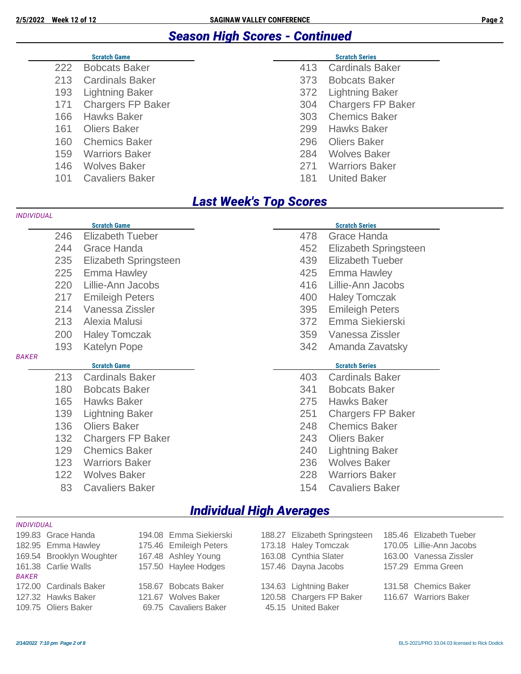#### *Season High Scores - Continued*

|     | <b>Scratch Game</b>      |     | <b>Scratch Series</b>    |
|-----|--------------------------|-----|--------------------------|
| 222 | <b>Bobcats Baker</b>     | 413 | <b>Cardinals Baker</b>   |
| 213 | <b>Cardinals Baker</b>   | 373 | <b>Bobcats Baker</b>     |
| 193 | <b>Lightning Baker</b>   | 372 | <b>Lightning Baker</b>   |
| 171 | <b>Chargers FP Baker</b> | 304 | <b>Chargers FP Baker</b> |
| 166 | <b>Hawks Baker</b>       | 303 | <b>Chemics Baker</b>     |
| 161 | <b>Oliers Baker</b>      | 299 | <b>Hawks Baker</b>       |
| 160 | <b>Chemics Baker</b>     | 296 | <b>Oliers Baker</b>      |
| 159 | <b>Warriors Baker</b>    | 284 | <b>Wolves Baker</b>      |
| 146 | <b>Wolves Baker</b>      | 271 | <b>Warriors Baker</b>    |
| 101 | <b>Cavaliers Baker</b>   | 181 | <b>United Baker</b>      |

#### *Last Week's Top Scores*

| <b>INDIVIDUAL</b> |     |                          |     |                          |
|-------------------|-----|--------------------------|-----|--------------------------|
|                   |     | <b>Scratch Game</b>      |     | <b>Scratch Series</b>    |
|                   | 246 | <b>Elizabeth Tueber</b>  | 478 | Grace Handa              |
|                   | 244 | Grace Handa              | 452 | Elizabeth Springsteen    |
|                   | 235 | Elizabeth Springsteen    | 439 | <b>Elizabeth Tueber</b>  |
|                   | 225 | Emma Hawley              | 425 | <b>Emma Hawley</b>       |
|                   | 220 | Lillie-Ann Jacobs        | 416 | Lillie-Ann Jacobs        |
|                   | 217 | <b>Emileigh Peters</b>   | 400 | <b>Haley Tomczak</b>     |
|                   | 214 | Vanessa Zissler          | 395 | <b>Emileigh Peters</b>   |
|                   | 213 | Alexia Malusi            | 372 | Emma Siekierski          |
|                   | 200 | <b>Haley Tomczak</b>     | 359 | Vanessa Zissler          |
|                   | 193 | <b>Katelyn Pope</b>      | 342 | Amanda Zavatsky          |
| <b>BAKER</b>      |     |                          |     |                          |
|                   |     | <b>Scratch Game</b>      |     | <b>Scratch Series</b>    |
|                   | 213 | <b>Cardinals Baker</b>   | 403 | <b>Cardinals Baker</b>   |
|                   | 180 | <b>Bobcats Baker</b>     | 341 | <b>Bobcats Baker</b>     |
|                   | 165 | <b>Hawks Baker</b>       | 275 | <b>Hawks Baker</b>       |
|                   | 139 | <b>Lightning Baker</b>   | 251 | <b>Chargers FP Baker</b> |
|                   | 136 | <b>Oliers Baker</b>      | 248 | <b>Chemics Baker</b>     |
|                   | 132 | <b>Chargers FP Baker</b> | 243 | <b>Oliers Baker</b>      |
|                   | 129 | <b>Chemics Baker</b>     | 240 | <b>Lightning Baker</b>   |
|                   | 123 | <b>Warriors Baker</b>    | 236 | <b>Wolves Baker</b>      |
|                   | 122 | <b>Wolves Baker</b>      | 228 | <b>Warriors Baker</b>    |
|                   | 83  | <b>Cavaliers Baker</b>   | 154 | <b>Cavaliers Baker</b>   |
|                   |     |                          |     |                          |

#### *Individual High Averages*

| <b>INDIVIDUAL</b> |                          |                        |                              |                          |
|-------------------|--------------------------|------------------------|------------------------------|--------------------------|
|                   | 199.83 Grace Handa       | 194.08 Emma Siekierski | 188.27 Elizabeth Springsteen | 185.46 Elizabeth Tueber  |
|                   | 182.95 Emma Hawley       | 175.46 Emileigh Peters | 173.18 Haley Tomczak         | 170.05 Lillie-Ann Jacobs |
|                   | 169.54 Brooklyn Woughter | 167.48 Ashley Young    | 163.08 Cynthia Slater        | 163.00 Vanessa Zissler   |
|                   | 161.38 Carlie Walls      | 157.50 Haylee Hodges   | 157.46 Dayna Jacobs          | 157.29 Emma Green        |
| BAKER             |                          |                        |                              |                          |
|                   | 172.00 Cardinals Baker   | 158.67 Bobcats Baker   | 134.63 Lightning Baker       | 131.58 Chemics Baker     |
|                   | 127.32 Hawks Baker       | 121.67 Wolves Baker    | 120.58 Chargers FP Baker     | 116.67 Warriors Baker    |
|                   | 109.75 Oliers Baker      | 69.75 Cavaliers Baker  | 45.15 United Baker           |                          |
|                   |                          |                        |                              |                          |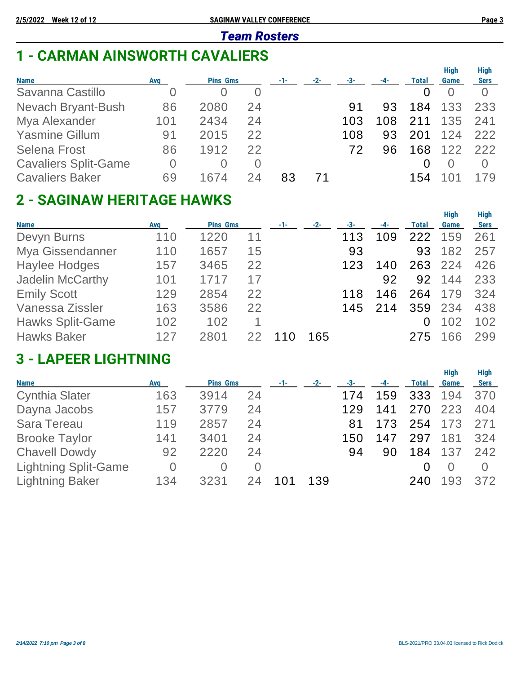#### *Team Rosters*

## **1 - CARMAN AINSWORTH CAVALIERS**

| <b>Name</b>                 | Avg | <b>Pins Gms</b> |          | $-1-$ | $-2-$ | -3- |     | <b>Total</b> | <b>High</b><br>Game | <b>High</b><br><b>Sers</b> |
|-----------------------------|-----|-----------------|----------|-------|-------|-----|-----|--------------|---------------------|----------------------------|
| Savanna Castillo            | Ő   |                 | $\Omega$ |       |       |     |     |              |                     |                            |
| Nevach Bryant-Bush          | 86  | 2080            | 24       |       |       | 91  | 93  | 184          | 133                 | 233                        |
| Mya Alexander               | 101 | 2434            | 24       |       |       | 103 | 108 | 211          | 135                 | 241                        |
| <b>Yasmine Gillum</b>       | 91  | 2015            | 22       |       |       | 108 | 93  | 201          | 124                 | 222                        |
| <b>Selena Frost</b>         | 86  | 1912            | 22       |       |       | 72  | 96  | 168          | 122                 | 222                        |
| <b>Cavaliers Split-Game</b> | 0   |                 | $\Omega$ |       |       |     |     |              | O                   |                            |
| <b>Cavaliers Baker</b>      | 69  | 1674            | 24       | 83    |       |     |     | 154          |                     | 179                        |
|                             |     |                 |          |       |       |     |     |              |                     |                            |

## **2 - SAGINAW HERITAGE HAWKS**

| <b>Name</b>             | <b>Avg</b> | <b>Pins Gms</b> |    | -1- | $-2-$ | -3- | -4- | Total | <b>High</b><br>Game | <b>High</b><br><b>Sers</b> |
|-------------------------|------------|-----------------|----|-----|-------|-----|-----|-------|---------------------|----------------------------|
| Devyn Burns             | 110        | 1220            | 11 |     |       | 113 | 109 | 222   | 159                 | 261                        |
| Mya Gissendanner        | 110        | 1657            | 15 |     |       | 93  |     | 93    | 182                 | 257                        |
| <b>Haylee Hodges</b>    | 157        | 3465            | 22 |     |       | 123 | 140 | 263   | 224                 | 426                        |
| <b>Jadelin McCarthy</b> | 101        | 1717            | 17 |     |       |     | 92  | 92    | 144                 | 233                        |
| <b>Emily Scott</b>      | 129        | 2854            | 22 |     |       | 118 | 146 | 264   | 179                 | 324                        |
| Vanessa Zissler         | 163        | 3586            | 22 |     |       | 145 | 214 | 359   | 234                 | 438                        |
| <b>Hawks Split-Game</b> | 102        | 102             |    |     |       |     |     | 0     | 102                 | 102                        |
| <b>Hawks Baker</b>      | 127        | 2801            | 22 |     | 165   |     |     | 275   | 66                  | 299                        |

## **3 - LAPEER LIGHTNING**

|                             |            |                 |          |       |       |       |       |              | <b>High</b> | <b>High</b> |
|-----------------------------|------------|-----------------|----------|-------|-------|-------|-------|--------------|-------------|-------------|
| <b>Name</b>                 | <b>Avg</b> | <b>Pins Gms</b> |          | $-1-$ | $-2-$ | $-3-$ | $-4-$ | <b>Total</b> | Game        | <b>Sers</b> |
| <b>Cynthia Slater</b>       | 163        | 3914            | 24       |       |       | 174   | 159   | 333          | 194         | 370         |
| Dayna Jacobs                | 157        | 3779            | 24       |       |       | 129   | 141   | 270          | 223         | 404         |
| <b>Sara Tereau</b>          | 119        | 2857            | 24       |       |       | 81    | 173   | 254          | 173         | 271         |
| <b>Brooke Taylor</b>        | 141        | 3401            | 24       |       |       | 150   | 147   | 297          | 181         | 324         |
| <b>Chavell Dowdy</b>        | 92         | 2220            | 24       |       |       | 94    | 90    | 184          | 137         | 242         |
| <b>Lightning Split-Game</b> | 0          | $\Omega$        | $\Omega$ |       |       |       |       |              | $\Omega$    | $\bigcap$   |
| <b>Lightning Baker</b>      | 134        | 3231            | 24       | 101   | 139   |       |       | 240          | 193         | 372         |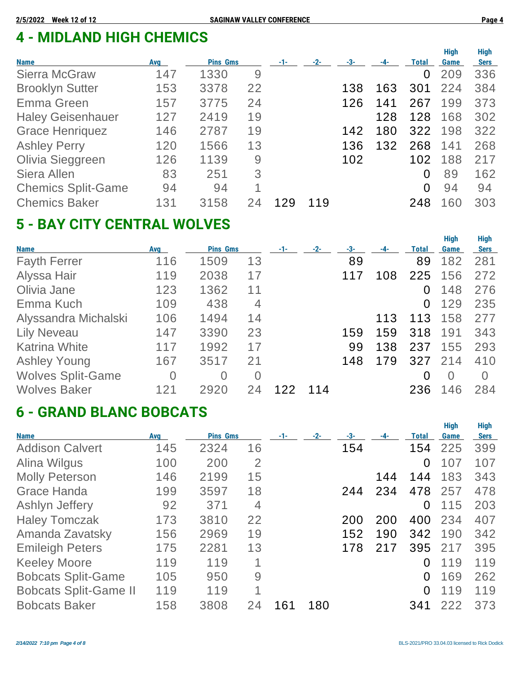# **4 - MIDLAND HIGH CHEMICS**

| <b>Name</b>               | Avg | <b>Pins Gms</b> |    | -1- | $-2-$ | -3- | -4- | Total    | <b>High</b><br>Game | <b>High</b><br><b>Sers</b> |
|---------------------------|-----|-----------------|----|-----|-------|-----|-----|----------|---------------------|----------------------------|
| <b>Sierra McGraw</b>      | 147 | 1330            | 9  |     |       |     |     | $\Omega$ | 209                 | 336                        |
| <b>Brooklyn Sutter</b>    | 153 | 3378            | 22 |     |       | 138 | 163 | 301      | 224                 | 384                        |
| Emma Green                | 157 | 3775            | 24 |     |       | 126 | 141 | 267      | 199                 | 373                        |
| <b>Haley Geisenhauer</b>  | 127 | 2419            | 19 |     |       |     | 128 | 128      | 168                 | 302                        |
| <b>Grace Henriquez</b>    | 146 | 2787            | 19 |     |       | 142 | 180 | 322      | 198                 | 322                        |
| <b>Ashley Perry</b>       | 120 | 1566            | 13 |     |       | 136 | 132 | 268      | 141                 | 268                        |
| Olivia Sieggreen          | 126 | 1139            | 9  |     |       | 102 |     | 102      | 188                 | 217                        |
| Siera Allen               | 83  | 251             | 3  |     |       |     |     | $\Omega$ | 89                  | 162                        |
| <b>Chemics Split-Game</b> | 94  | 94              | 1  |     |       |     |     | $\Omega$ | 94                  | 94                         |
| <b>Chemics Baker</b>      | 131 | 3158            |    | 129 | 119   |     |     | 248      | 60                  | 303                        |

## **5 - BAY CITY CENTRAL WOLVES**

| <b>Name</b>              | <b>Avg</b>     | <b>Pins Gms</b> |                | $-1-$ | $-2-$ | -3- |     | Total    | <b>High</b><br>Game | <b>High</b><br><b>Sers</b> |
|--------------------------|----------------|-----------------|----------------|-------|-------|-----|-----|----------|---------------------|----------------------------|
| <b>Fayth Ferrer</b>      | 116            | 1509            | 13             |       |       | 89  |     | 89       | 182                 | 281                        |
| Alyssa Hair              | 119            | 2038            | 17             |       |       | 117 | 108 | 225      | 156                 | 272                        |
| Olivia Jane              | 123            | 1362            | 11             |       |       |     |     | 0        | 148                 | 276                        |
| Emma Kuch                | 109            | 438             | 4              |       |       |     |     | $\Omega$ | 129                 | 235                        |
| Alyssandra Michalski     | 106            | 1494            | 14             |       |       |     | 113 | 113      | 158                 | 277                        |
| <b>Lily Neveau</b>       | 147            | 3390            | 23             |       |       | 159 | 159 | 318      | 191                 | 343                        |
| <b>Katrina White</b>     | 117            | 1992            | 17             |       |       | 99  | 138 | 237      | 155                 | 293                        |
| <b>Ashley Young</b>      | 167            | 3517            | 21             |       |       | 148 | 179 | 327      | 214                 | 410                        |
| <b>Wolves Split-Game</b> | $\overline{0}$ | $\overline{0}$  | $\overline{0}$ |       |       |     |     | $\Omega$ | $\Omega$            | $\Omega$                   |
| <b>Wolves Baker</b>      | 121            | 2920            | 24             |       | 114   |     |     | 236      | 146                 | 284                        |

### **6 - GRAND BLANC BOBCATS**

| <b>Name</b>                  | Avg | <b>Pins Gms</b> |                |     | $-2-$ | -3- | -4- | Total    | <b>High</b><br>Game | <b>High</b><br><b>Sers</b> |
|------------------------------|-----|-----------------|----------------|-----|-------|-----|-----|----------|---------------------|----------------------------|
| <b>Addison Calvert</b>       | 145 | 2324            | 16             |     |       | 154 |     | 154      | 225                 | 399                        |
| Alina Wilgus                 | 100 | 200             | $\overline{2}$ |     |       |     |     | 0        | 107                 | 107                        |
| <b>Molly Peterson</b>        | 146 | 2199            | 15             |     |       |     | 144 | 144      | 183                 | 343                        |
| <b>Grace Handa</b>           | 199 | 3597            | 18             |     |       | 244 | 234 | 478      | 257                 | 478                        |
| Ashlyn Jeffery               | 92  | 371             | 4              |     |       |     |     | 0        | 115                 | 203                        |
| <b>Haley Tomczak</b>         | 173 | 3810            | 22             |     |       | 200 | 200 | 400      | 234                 | 407                        |
| Amanda Zavatsky              | 156 | 2969            | 19             |     |       | 152 | 190 | 342      | 190                 | 342                        |
| <b>Emileigh Peters</b>       | 175 | 2281            | 13             |     |       | 178 | 217 | 395      | 217                 | 395                        |
| <b>Keeley Moore</b>          | 119 | 119             |                |     |       |     |     | 0        | 119                 | 119                        |
| <b>Bobcats Split-Game</b>    | 105 | 950             | 9              |     |       |     |     | 0        | 169                 | 262                        |
| <b>Bobcats Split-Game II</b> | 119 | 119             | 1              |     |       |     |     | $\Omega$ | 119                 | 119                        |
| <b>Bobcats Baker</b>         | 158 | 3808            | 24             | 161 | 180   |     |     | 341      | 222                 | 373                        |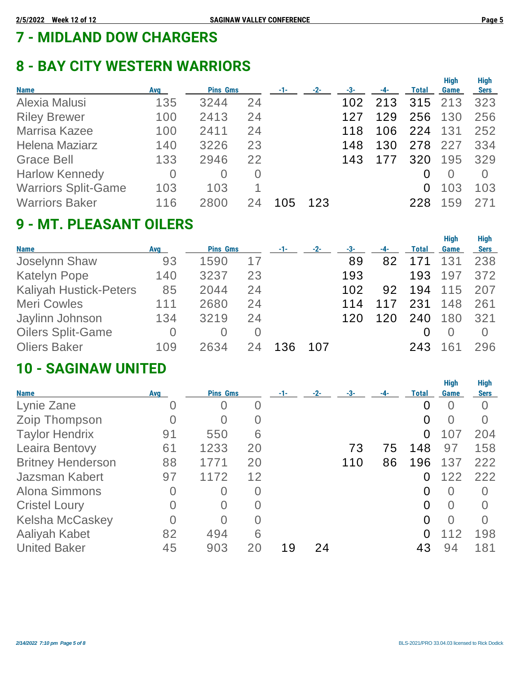# **7 - MIDLAND DOW CHARGERS**

## **8 - BAY CITY WESTERN WARRIORS**

|     |          |          |                 |       |     |       |              |      | <b>High</b>     |
|-----|----------|----------|-----------------|-------|-----|-------|--------------|------|-----------------|
| Avg |          |          | $-1-$           | $-2-$ | -3- | $-4-$ | <b>Total</b> | Game | <b>Sers</b>     |
| 135 | 3244     | 24       |                 |       | 102 | 213   |              |      | 323             |
| 100 | 2413     | 24       |                 |       | 127 | 129   | 256          | 130  | 256             |
| 100 | 2411     | 24       |                 |       | 118 | 106   | 224          | 131  | 252             |
| 140 | 3226     | 23       |                 |       | 148 | 130   | 278          | 227  | 334             |
| 133 | 2946     | 22       |                 |       | 143 | 177   | 320          | 195  | 329             |
| 0   | $\Omega$ | $\Omega$ |                 |       |     |       |              |      |                 |
| 103 | 103      |          |                 |       |     |       | 0            | 103  | 103             |
| 116 | 2800     |          | (15             | 123   |     |       | 228          | 59   | 271             |
|     |          |          | <b>Pins Gms</b> |       |     |       |              |      | Hiah<br>315 213 |

## **9 - MT. PLEASANT OILERS**

|                               |     |                 |          |       |       |     |       |              | <b>High</b> | <b>High</b>      |
|-------------------------------|-----|-----------------|----------|-------|-------|-----|-------|--------------|-------------|------------------|
| <b>Name</b>                   | Avg | <b>Pins Gms</b> |          | $-1-$ | $-2-$ | -3- | $-4-$ | <b>Total</b> | Game        | <b>Sers</b>      |
| <b>Joselynn Shaw</b>          | 93  | 1590            | 17       |       |       | 89  | 82    | 171          | 131         | 238              |
| <b>Katelyn Pope</b>           | 140 | 3237            | 23       |       |       | 193 |       | 193          | 197         | 372              |
| <b>Kaliyah Hustick-Peters</b> | 85  | 2044            | 24       |       |       | 102 | 92    | 194          | 115         | 207              |
| <b>Meri Cowles</b>            | 111 | 2680            | 24       |       |       | 114 | 117   | 231          | 148         | 261              |
| Jaylinn Johnson               | 134 | 3219            | 24       |       |       | 120 | 120   | 240          | 180         | 321              |
| <b>Oilers Split-Game</b>      | 0   | $\Omega$        | $\Omega$ |       |       |     |       | 0            |             | $\left( \right)$ |
| <b>Oliers Baker</b>           | 109 | 2634            | 24       | 136   | 107   |     |       | 243          |             | 296              |

### **10 - SAGINAW UNITED**

| <b>Name</b>              | <b>Avg</b> | <b>Pins Gms</b> |          |    | $-2-$ | -3- |    | Total    | <b>High</b><br>Game | <b>High</b><br><b>Sers</b> |
|--------------------------|------------|-----------------|----------|----|-------|-----|----|----------|---------------------|----------------------------|
| Lynie Zane               | O          | 0               | $\Omega$ |    |       |     |    | 0        | $\cup$              | $\Omega$                   |
| Zoip Thompson            | U          | $\cup$          | O        |    |       |     |    | 0        | $\cup$              | $\Omega$                   |
| <b>Taylor Hendrix</b>    | 91         | 550             | 6        |    |       |     |    | 0        | 107                 | 204                        |
| <b>Leaira Bentovy</b>    | 61         | 1233            | 20       |    |       | 73  | 75 | 148      | 97                  | 158                        |
| <b>Britney Henderson</b> | 88         | 1771            | 20       |    |       | 110 | 86 | 196      | 137                 | 222                        |
| Jazsman Kabert           | 97         | 1172            | 12       |    |       |     |    | 0        | 122                 | 222                        |
| <b>Alona Simmons</b>     | 0          | $\Omega$        | 0        |    |       |     |    | 0        | $\Omega$            | $\bigcap$                  |
| <b>Cristel Loury</b>     |            | $\Omega$        | 0        |    |       |     |    | $\Omega$ | $\Omega$            | $\Omega$                   |
| <b>Kelsha McCaskey</b>   | 0          | 0               | $\Omega$ |    |       |     |    | $\Omega$ | $\Omega$            | $\Omega$                   |
| <b>Aaliyah Kabet</b>     | 82         | 494             | 6        |    |       |     |    | 0        | 112                 | 198                        |
| <b>United Baker</b>      | 45         | 903             | 20       | 19 | 24    |     |    | 43       | 94                  | 181                        |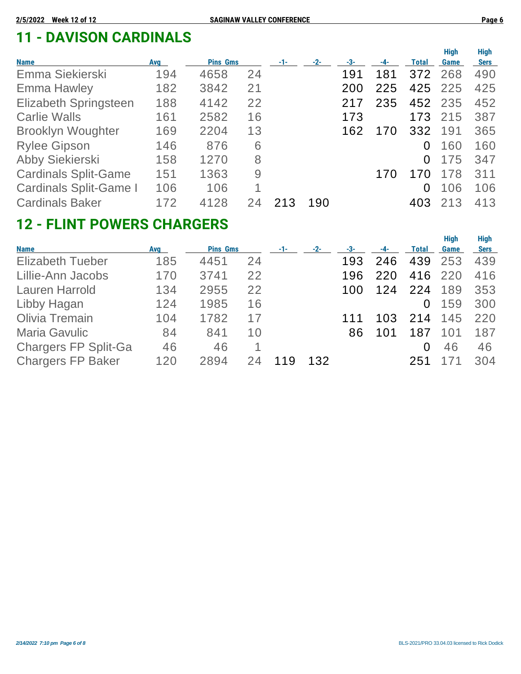## **11 - DAVISON CARDINALS**

| <b>Name</b>                   | <b>Avg</b> | <b>Pins Gms</b> |    | $-1-$ | $-2-$ | -3- | -4- | Total    | <b>High</b><br>Game | <b>High</b><br><b>Sers</b> |
|-------------------------------|------------|-----------------|----|-------|-------|-----|-----|----------|---------------------|----------------------------|
| Emma Siekierski               | 194        | 4658            | 24 |       |       | 191 | 181 | 372      | 268                 | 490                        |
| <b>Emma Hawley</b>            | 182        | 3842            | 21 |       |       | 200 | 225 |          | 425 225             | 425                        |
| <b>Elizabeth Springsteen</b>  | 188        | 4142            | 22 |       |       | 217 | 235 | 452      | 235                 | 452                        |
| <b>Carlie Walls</b>           | 161        | 2582            | 16 |       |       | 173 |     | 173      | 215                 | 387                        |
| <b>Brooklyn Woughter</b>      | 169        | 2204            | 13 |       |       | 162 | 170 | 332      | 191                 | 365                        |
| <b>Rylee Gipson</b>           | 146        | 876             | 6  |       |       |     |     | $\Omega$ | 160                 | 160                        |
| Abby Siekierski               | 158        | 1270            | 8  |       |       |     |     | 0        | 175                 | 347                        |
| <b>Cardinals Split-Game</b>   | 151        | 1363            | 9  |       |       |     | 170 | 170      | 178                 | 311                        |
| <b>Cardinals Split-Game I</b> | 106        | 106             | 1  |       |       |     |     | 0        | 106                 | 106                        |
| <b>Cardinals Baker</b>        | 172        | 4128            |    | 213   | 190   |     |     | 403      | 213                 | 413                        |

## **12 - FLINT POWERS CHARGERS**

|                             |            |                 |    |     |       |     |     |       | <b>High</b> | <b>High</b> |
|-----------------------------|------------|-----------------|----|-----|-------|-----|-----|-------|-------------|-------------|
| <b>Name</b>                 | <b>Avg</b> | <b>Pins Gms</b> |    | -1- | $-2-$ | -3- | -4- | Total | Game        | <b>Sers</b> |
| <b>Elizabeth Tueber</b>     | 185        | 4451            | 24 |     |       | 193 | 246 | 439   | 253         | 439         |
| Lillie-Ann Jacobs           | 170        | 3741            | 22 |     |       | 196 | 220 | 416   | 220         | 416         |
| <b>Lauren Harrold</b>       | 134        | 2955            | 22 |     |       | 100 | 124 | 224   | 189         | 353         |
| Libby Hagan                 | 124        | 1985            | 16 |     |       |     |     | 0     | 159         | 300         |
| Olivia Tremain              | 104        | 1782            | 17 |     |       |     | 103 | 214   | 145         | 220         |
| <b>Maria Gavulic</b>        | 84         | 841             | 10 |     |       | 86  | 101 | 187   | 101         | 187         |
| <b>Chargers FP Split-Ga</b> | 46         | 46              |    |     |       |     |     | 0     | 46          | 46          |
| <b>Chargers FP Baker</b>    | 120        | 2894            |    |     | 132   |     |     | 251   |             | 304         |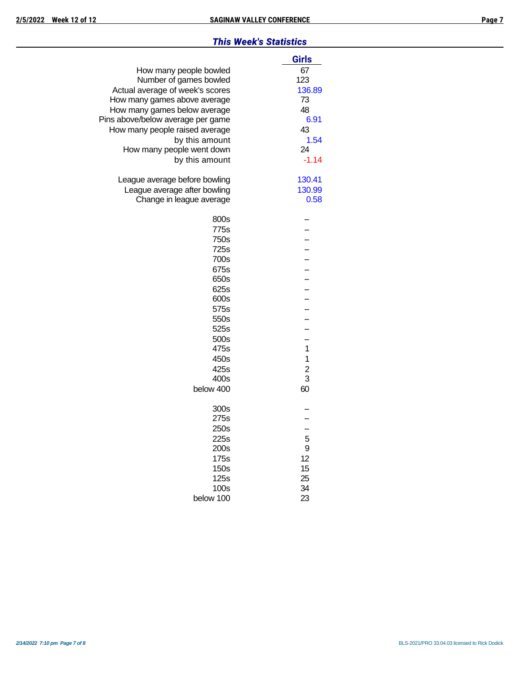#### *This Week's Statistics*

|                                   | Girls         |
|-----------------------------------|---------------|
| How many people bowled            | 67            |
| Number of games bowled            | 123           |
| Actual average of week's scores   | 136.89        |
| How many games above average      | 73            |
| How many games below average      | 48            |
| Pins above/below average per game | 6.91          |
| How many people raised average    | 43            |
| by this amount                    | 1.54          |
| How many people went down         | 24            |
| by this amount                    | $-1.14$       |
| League average before bowling     | 130.41        |
| League average after bowling      | 130.99        |
| Change in league average          | 0.58          |
| 800s                              |               |
| 775s                              |               |
| 750s                              |               |
| 725s                              |               |
| 700s                              |               |
| 675s                              |               |
| 650s                              |               |
| 625s                              |               |
| 600s                              |               |
| 575s                              |               |
| 550s                              |               |
| 525s                              |               |
| 500s                              | $\mathbf{1}$  |
| 475s                              |               |
| 450s                              | 1             |
| 425s<br>400s                      | $\frac{2}{3}$ |
| below 400                         | 60            |
|                                   |               |
| 300s                              |               |
| 275s                              |               |
| 250s                              |               |
| 225s                              | 5             |
| 200s                              | 9             |
| 175s                              | 12            |
| 150s                              | 15            |
| 125s                              | 25            |
| 100s                              | 34            |
| below 100                         | 23            |